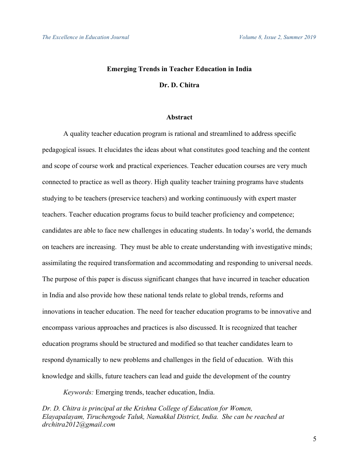# **Emerging Trends in Teacher Education in India Dr. D. Chitra**

# **Abstract**

 A quality teacher education program is rational and streamlined to address specific pedagogical issues. It elucidates the ideas about what constitutes good teaching and the content and scope of course work and practical experiences. Teacher education courses are very much connected to practice as well as theory. High quality teacher training programs have students studying to be teachers (preservice teachers) and working continuously with expert master teachers. Teacher education programs focus to build teacher proficiency and competence; candidates are able to face new challenges in educating students. In today's world, the demands on teachers are increasing. They must be able to create understanding with investigative minds; assimilating the required transformation and accommodating and responding to universal needs. The purpose of this paper is discuss significant changes that have incurred in teacher education in India and also provide how these national tends relate to global trends, reforms and innovations in teacher education. The need for teacher education programs to be innovative and encompass various approaches and practices is also discussed. It is recognized that teacher education programs should be structured and modified so that teacher candidates learn to respond dynamically to new problems and challenges in the field of education. With this knowledge and skills, future teachers can lead and guide the development of the country

*Keywords:* Emerging trends, teacher education, India.

*Dr. D. Chitra is principal at the Krishna College of Education for Women, Elayapalayam, Tiruchengode Taluk, Namakkal District, India. She can be reached at drchitra2012@gmail.com*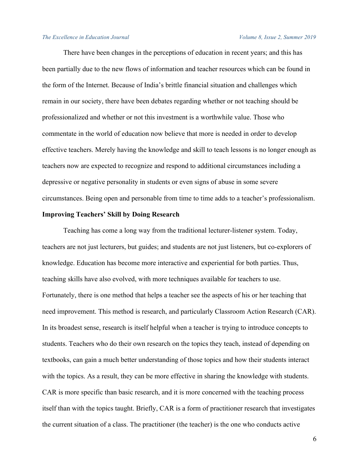There have been changes in the perceptions of education in recent years; and this has been partially due to the new flows of information and teacher resources which can be found in the form of the Internet. Because of India's brittle financial situation and challenges which remain in our society, there have been debates regarding whether or not teaching should be professionalized and whether or not this investment is a worthwhile value. Those who commentate in the world of education now believe that more is needed in order to develop effective teachers. Merely having the knowledge and skill to teach lessons is no longer enough as teachers now are expected to recognize and respond to additional circumstances including a depressive or negative personality in students or even signs of abuse in some severe circumstances. Being open and personable from time to time adds to a teacher's professionalism.

# **Improving Teachers' Skill by Doing Research**

Teaching has come a long way from the traditional lecturer-listener system. Today, teachers are not just lecturers, but guides; and students are not just listeners, but co-explorers of knowledge. Education has become more interactive and experiential for both parties. Thus, teaching skills have also evolved, with more techniques available for teachers to use. Fortunately, there is one method that helps a teacher see the aspects of his or her teaching that need improvement. This method is research, and particularly Classroom Action Research (CAR). In its broadest sense, research is itself helpful when a teacher is trying to introduce concepts to students. Teachers who do their own research on the topics they teach, instead of depending on textbooks, can gain a much better understanding of those topics and how their students interact with the topics. As a result, they can be more effective in sharing the knowledge with students. CAR is more specific than basic research, and it is more concerned with the teaching process itself than with the topics taught. Briefly, CAR is a form of practitioner research that investigates the current situation of a class. The practitioner (the teacher) is the one who conducts active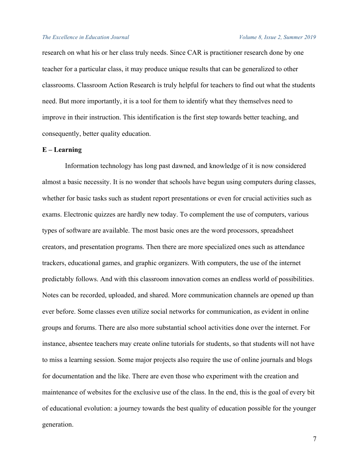research on what his or her class truly needs. Since CAR is practitioner research done by one teacher for a particular class, it may produce unique results that can be generalized to other classrooms. Classroom Action Research is truly helpful for teachers to find out what the students need. But more importantly, it is a tool for them to identify what they themselves need to improve in their instruction. This identification is the first step towards better teaching, and consequently, better quality education.

# **E – Learning**

Information technology has long past dawned, and knowledge of it is now considered almost a basic necessity. It is no wonder that schools have begun using computers during classes, whether for basic tasks such as student report presentations or even for crucial activities such as exams. Electronic quizzes are hardly new today. To complement the use of computers, various types of software are available. The most basic ones are the word processors, spreadsheet creators, and presentation programs. Then there are more specialized ones such as attendance trackers, educational games, and graphic organizers. With computers, the use of the internet predictably follows. And with this classroom innovation comes an endless world of possibilities. Notes can be recorded, uploaded, and shared. More communication channels are opened up than ever before. Some classes even utilize social networks for communication, as evident in online groups and forums. There are also more substantial school activities done over the internet. For instance, absentee teachers may create online tutorials for students, so that students will not have to miss a learning session. Some major projects also require the use of online journals and blogs for documentation and the like. There are even those who experiment with the creation and maintenance of websites for the exclusive use of the class. In the end, this is the goal of every bit of educational evolution: a journey towards the best quality of education possible for the younger generation.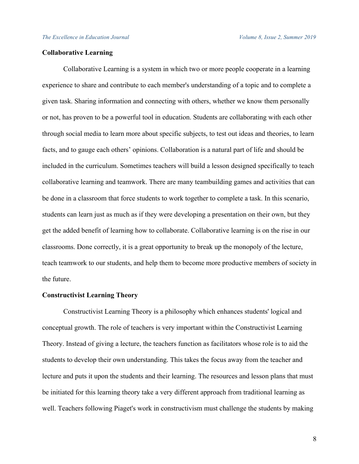# **Collaborative Learning**

Collaborative Learning is a system in which two or more people cooperate in a learning experience to share and contribute to each member's understanding of a topic and to complete a given task. Sharing information and connecting with others, whether we know them personally or not, has proven to be a powerful tool in education. Students are collaborating with each other through social media to learn more about specific subjects, to test out ideas and theories, to learn facts, and to gauge each others' opinions. Collaboration is a natural part of life and should be included in the curriculum. Sometimes teachers will build a lesson designed specifically to teach collaborative learning and teamwork. There are many teambuilding games and activities that can be done in a classroom that force students to work together to complete a task. In this scenario, students can learn just as much as if they were developing a presentation on their own, but they get the added benefit of learning how to collaborate. Collaborative learning is on the rise in our classrooms. Done correctly, it is a great opportunity to break up the monopoly of the lecture, teach teamwork to our students, and help them to become more productive members of society in the future.

# **Constructivist Learning Theory**

Constructivist Learning Theory is a philosophy which enhances students' logical and conceptual growth. The role of teachers is very important within the Constructivist Learning Theory. Instead of giving a lecture, the teachers function as facilitators whose role is to aid the students to develop their own understanding. This takes the focus away from the teacher and lecture and puts it upon the students and their learning. The resources and lesson plans that must be initiated for this learning theory take a very different approach from traditional learning as well. Teachers following Piaget's work in constructivism must challenge the students by making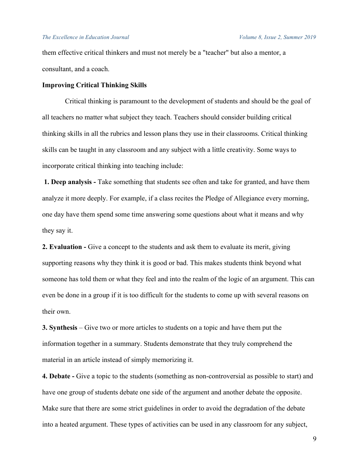them effective critical thinkers and must not merely be a "teacher" but also a mentor, a consultant, and a coach.

# **Improving Critical Thinking Skills**

Critical thinking is paramount to the development of students and should be the goal of all teachers no matter what subject they teach. Teachers should consider building critical thinking skills in all the rubrics and lesson plans they use in their classrooms. Critical thinking skills can be taught in any classroom and any subject with a little creativity. Some ways to incorporate critical thinking into teaching include:

**1. Deep analysis -** Take something that students see often and take for granted, and have them analyze it more deeply. For example, if a class recites the Pledge of Allegiance every morning, one day have them spend some time answering some questions about what it means and why they say it.

**2. Evaluation -** Give a concept to the students and ask them to evaluate its merit, giving supporting reasons why they think it is good or bad. This makes students think beyond what someone has told them or what they feel and into the realm of the logic of an argument. This can even be done in a group if it is too difficult for the students to come up with several reasons on their own.

**3. Synthesis** – Give two or more articles to students on a topic and have them put the information together in a summary. Students demonstrate that they truly comprehend the material in an article instead of simply memorizing it.

**4. Debate -** Give a topic to the students (something as non-controversial as possible to start) and have one group of students debate one side of the argument and another debate the opposite. Make sure that there are some strict guidelines in order to avoid the degradation of the debate into a heated argument. These types of activities can be used in any classroom for any subject,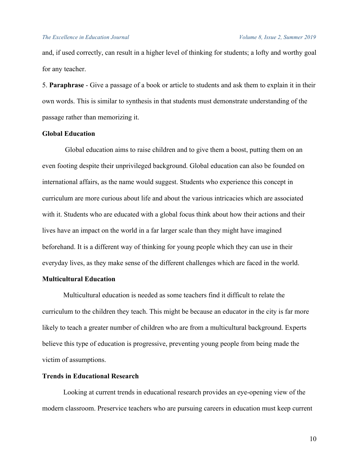and, if used correctly, can result in a higher level of thinking for students; a lofty and worthy goal for any teacher.

5. **Paraphrase** - Give a passage of a book or article to students and ask them to explain it in their own words. This is similar to synthesis in that students must demonstrate understanding of the passage rather than memorizing it.

# **Global Education**

Global education aims to raise children and to give them a boost, putting them on an even footing despite their unprivileged background. Global education can also be founded on international affairs, as the name would suggest. Students who experience this concept in curriculum are more curious about life and about the various intricacies which are associated with it. Students who are educated with a global focus think about how their actions and their lives have an impact on the world in a far larger scale than they might have imagined beforehand. It is a different way of thinking for young people which they can use in their everyday lives, as they make sense of the different challenges which are faced in the world.

# **Multicultural Education**

Multicultural education is needed as some teachers find it difficult to relate the curriculum to the children they teach. This might be because an educator in the city is far more likely to teach a greater number of children who are from a multicultural background. Experts believe this type of education is progressive, preventing young people from being made the victim of assumptions.

# **Trends in Educational Research**

Looking at current trends in educational research provides an eye-opening view of the modern classroom. Preservice teachers who are pursuing careers in education must keep current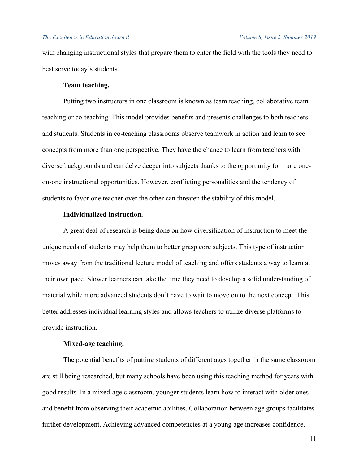with changing instructional styles that prepare them to enter the field with the tools they need to best serve today's students.

# **Team teaching.**

Putting two instructors in one classroom is known as team teaching, collaborative team teaching or co-teaching. This model provides benefits and presents challenges to both teachers and students. Students in co-teaching classrooms observe teamwork in action and learn to see concepts from more than one perspective. They have the chance to learn from teachers with diverse backgrounds and can delve deeper into subjects thanks to the opportunity for more oneon-one instructional opportunities. However, conflicting personalities and the tendency of students to favor one teacher over the other can threaten the stability of this model.

# **Individualized instruction.**

A great deal of research is being done on how diversification of instruction to meet the unique needs of students may help them to better grasp core subjects. This type of instruction moves away from the traditional lecture model of teaching and offers students a way to learn at their own pace. Slower learners can take the time they need to develop a solid understanding of material while more advanced students don't have to wait to move on to the next concept. This better addresses individual learning styles and allows teachers to utilize diverse platforms to provide instruction.

# **Mixed-age teaching.**

The potential benefits of putting students of different ages together in the same classroom are still being researched, but many schools have been using this teaching method for years with good results. In a mixed-age classroom, younger students learn how to interact with older ones and benefit from observing their academic abilities. Collaboration between age groups facilitates further development. Achieving advanced competencies at a young age increases confidence.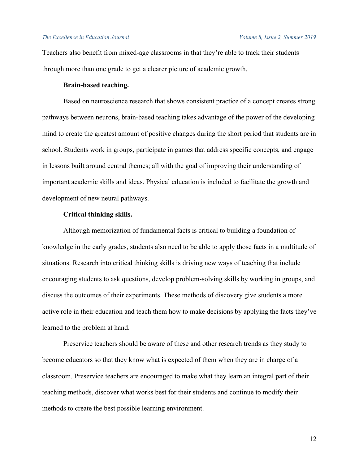Teachers also benefit from mixed-age classrooms in that they're able to track their students through more than one grade to get a clearer picture of academic growth.

# **Brain-based teaching.**

Based on neuroscience research that shows consistent practice of a concept creates strong pathways between neurons, brain-based teaching takes advantage of the power of the developing mind to create the greatest amount of positive changes during the short period that students are in school. Students work in groups, participate in games that address specific concepts, and engage in lessons built around central themes; all with the goal of improving their understanding of important academic skills and ideas. Physical education is included to facilitate the growth and development of new neural pathways.

# **Critical thinking skills.**

Although memorization of fundamental facts is critical to building a foundation of knowledge in the early grades, students also need to be able to apply those facts in a multitude of situations. Research into critical thinking skills is driving new ways of teaching that include encouraging students to ask questions, develop problem-solving skills by working in groups, and discuss the outcomes of their experiments. These methods of discovery give students a more active role in their education and teach them how to make decisions by applying the facts they've learned to the problem at hand.

Preservice teachers should be aware of these and other research trends as they study to become educators so that they know what is expected of them when they are in charge of a classroom. Preservice teachers are encouraged to make what they learn an integral part of their teaching methods, discover what works best for their students and continue to modify their methods to create the best possible learning environment.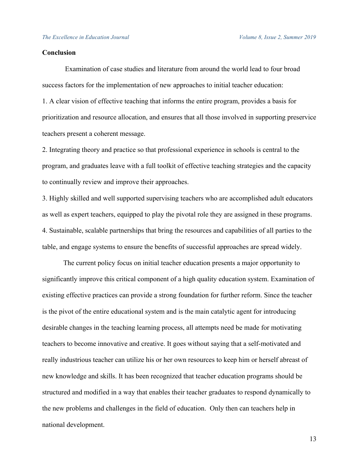# **Conclusion**

Examination of case studies and literature from around the world lead to four broad success factors for the implementation of new approaches to initial teacher education: 1. A clear vision of effective teaching that informs the entire program, provides a basis for prioritization and resource allocation, and ensures that all those involved in supporting preservice teachers present a coherent message.

2. Integrating theory and practice so that professional experience in schools is central to the program, and graduates leave with a full toolkit of effective teaching strategies and the capacity to continually review and improve their approaches.

3. Highly skilled and well supported supervising teachers who are accomplished adult educators as well as expert teachers, equipped to play the pivotal role they are assigned in these programs. 4. Sustainable, scalable partnerships that bring the resources and capabilities of all parties to the table, and engage systems to ensure the benefits of successful approaches are spread widely.

The current policy focus on initial teacher education presents a major opportunity to significantly improve this critical component of a high quality education system. Examination of existing effective practices can provide a strong foundation for further reform. Since the teacher is the pivot of the entire educational system and is the main catalytic agent for introducing desirable changes in the teaching learning process, all attempts need be made for motivating teachers to become innovative and creative. It goes without saying that a self-motivated and really industrious teacher can utilize his or her own resources to keep him or herself abreast of new knowledge and skills. It has been recognized that teacher education programs should be structured and modified in a way that enables their teacher graduates to respond dynamically to the new problems and challenges in the field of education. Only then can teachers help in national development.